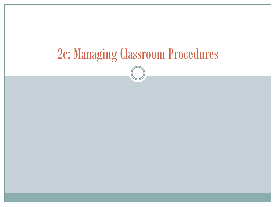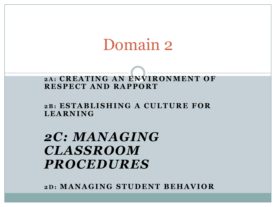# Domain 2

### **2 A : C R E A T I N G A N E N V I R O N M E N T O F R E S P E C T A N D R A P P O R T**

**2 B : E S T A B L I S H I N G A C U L T U R E F O R L E A R N I N G**

*2C: MANAGING CLASSROOM PROCEDURES*

**2 D : M A N A G I N G S T U D E N T B E H A V I O R**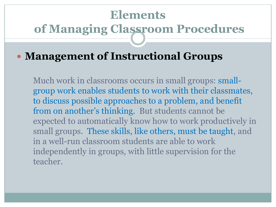# **Elements of Managing Classroom Procedures**

### **Management of Instructional Groups**

Much work in classrooms occurs in small groups: smallgroup work enables students to work with their classmates, to discuss possible approaches to a problem, and benefit from on another's thinking. But students cannot be expected to automatically know how to work productively in small groups. These skills, like others, must be taught, and in a well-run classroom students are able to work independently in groups, with little supervision for the teacher.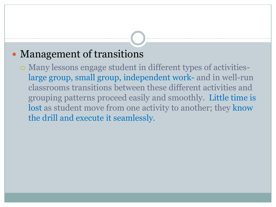## Management of transitions

 Many lessons engage student in different types of activitieslarge group, small group, independent work- and in well-run classrooms transitions between these different activities and grouping patterns proceed easily and smoothly. Little time is lost as student move from one activity to another; they know the drill and execute it seamlessly.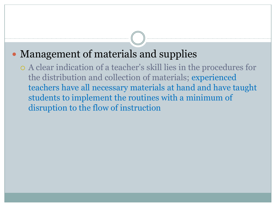## • Management of materials and supplies

 A clear indication of a teacher's skill lies in the procedures for the distribution and collection of materials; experienced teachers have all necessary materials at hand and have taught students to implement the routines with a minimum of disruption to the flow of instruction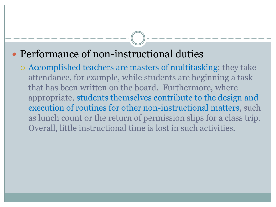### Performance of non-instructional duties

 Accomplished teachers are masters of multitasking; they take attendance, for example, while students are beginning a task that has been written on the board. Furthermore, where appropriate, students themselves contribute to the design and execution of routines for other non-instructional matters, such as lunch count or the return of permission slips for a class trip. Overall, little instructional time is lost in such activities.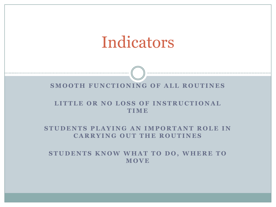# Indicators

#### **SMOOTH FUNCTIONING OF ALL ROUTINES**

#### LITTLE OR NO LOSS OF INSTRUCTIONAL **T I M E**

#### **STUDENTS PLAYING AN IMPORTANT ROLE IN CARRYING OUT THE ROUTINES**

**STUDENTS KNOW WHAT TO DO, WHERE TO M O V E**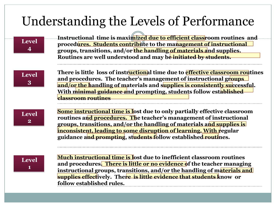## Understanding the Levels of Performance

### **Level 4**

**Instructional time is maximized due to efficient classroom routines and**  8 **procedures. Students contribute to the management of instructional groups, transitions, and/or the handling of materials and supplies. Routines are well understood and may be initiated by students.**

**Level 3**

**There is little loss of instructional time due to effective classroom routines**  and procedures. The teacher's management of instructional groups **and/or the handling of materials and supplies is consistently successful. With minimal guidance and prompting, students follow established classroom routines** 

**Level 2**

**Some instructional time is lost due to only partially effective classroom routines and procedures. The teacher's management of instructional groups, transitions, and/or the handling of materials and supplies is inconsistent, leading to some disruption of learning. With regular guidance and prompting, students follow established routines.**

**Level 1**

**Much instructional time is lost due to inefficient classroom routines and procedures. There is little or no evidence of the teacher managing instructional groups, transitions, and/or the handling of materials and supplies effectively. There is little evidence that students know or follow established rules.**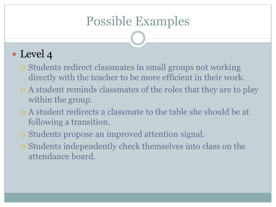## Possible Examples

- Students redirect classmates in small groups not working directly with the teacher to be more efficient in their work.
- A student reminds classmates of the roles that they are to play within the group.
- A student redirects a classmate to the table she should be at following a transition.
- Students propose an improved attention signal.
- Students independently check themselves into class on the attendance board.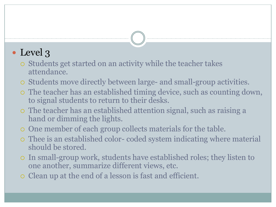- Students get started on an activity while the teacher takes attendance.
- Students move directly between large- and small-group activities.
- The teacher has an established timing device, such as counting down, to signal students to return to their desks.
- The teacher has an established attention signal, such as raising a hand or dimming the lights.
- One member of each group collects materials for the table.
- Thee is an established color- coded system indicating where material should be stored.
- In small-group work, students have established roles; they listen to one another, summarize different views, etc.
- Clean up at the end of a lesson is fast and efficient.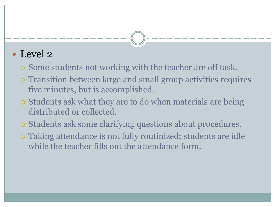- Some students not working with the teacher are off task.
- Transition between large and small group activities requires five minutes, but is accomplished.
- Students ask what they are to do when materials are being distributed or collected.
- Students ask some clarifying questions about procedures.
- Taking attendance is not fully routinized; students are idle while the teacher fills out the attendance form.